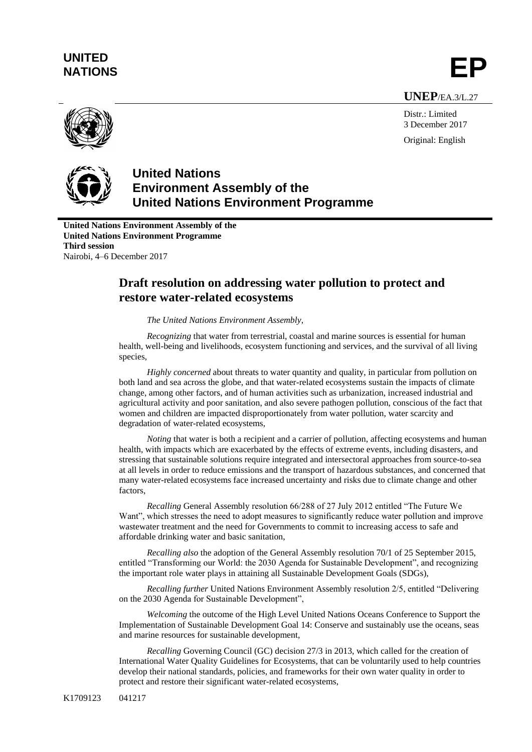## **UNITED** UNITED<br>NATIONS **EP**



Distr.: Limited 3 December 2017 Original: English



**United Nations Environment Assembly of the United Nations Environment Programme**

**United Nations Environment Assembly of the United Nations Environment Programme Third session** Nairobi, 4–6 December 2017

## **Draft resolution on addressing water pollution to protect and restore water-related ecosystems**

*The United Nations Environment Assembly,*

*Recognizing* that water from terrestrial, coastal and marine sources is essential for human health, well-being and livelihoods, ecosystem functioning and services, and the survival of all living species,

*Highly concerned* about threats to water quantity and quality, in particular from pollution on both land and sea across the globe, and that water-related ecosystems sustain the impacts of climate change, among other factors, and of human activities such as urbanization, increased industrial and agricultural activity and poor sanitation, and also severe pathogen pollution, conscious of the fact that women and children are impacted disproportionately from water pollution, water scarcity and degradation of water-related ecosystems,

*Noting* that water is both a recipient and a carrier of pollution, affecting ecosystems and human health, with impacts which are exacerbated by the effects of extreme events, including disasters, and stressing that sustainable solutions require integrated and intersectoral approaches from source-to-sea at all levels in order to reduce emissions and the transport of hazardous substances, and concerned that many water-related ecosystems face increased uncertainty and risks due to climate change and other factors,

*Recalling* General Assembly resolution 66/288 of 27 July 2012 entitled "The Future We Want", which stresses the need to adopt measures to significantly reduce water pollution and improve wastewater treatment and the need for Governments to commit to increasing access to safe and affordable drinking water and basic sanitation,

*Recalling also* the adoption of the General Assembly resolution 70/1 of 25 September 2015, entitled "Transforming our World: the 2030 Agenda for Sustainable Development", and recognizing the important role water plays in attaining all Sustainable Development Goals (SDGs),

*Recalling further* United Nations Environment Assembly resolution 2/5, entitled "Delivering on the 2030 Agenda for Sustainable Development",

*Welcoming* the outcome of the High Level United Nations Oceans Conference to Support the Implementation of Sustainable Development Goal 14: Conserve and sustainably use the oceans, seas and marine resources for sustainable development,

*Recalling* Governing Council (GC) decision 27/3 in 2013, which called for the creation of International Water Quality Guidelines for Ecosystems, that can be voluntarily used to help countries develop their national standards, policies, and frameworks for their own water quality in order to protect and restore their significant water-related ecosystems,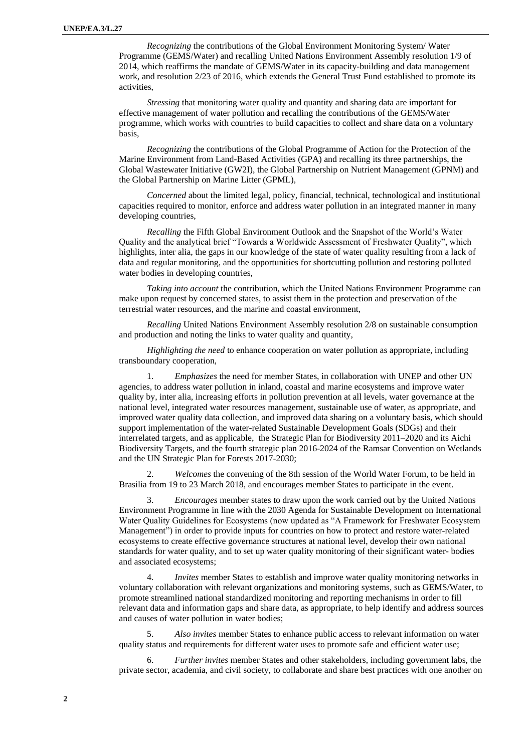*Recognizing* the contributions of the Global Environment Monitoring System/ Water Programme (GEMS/Water) and recalling United Nations Environment Assembly resolution 1/9 of 2014, which reaffirms the mandate of GEMS/Water in its capacity-building and data management work, and resolution 2/23 of 2016, which extends the General Trust Fund established to promote its activities,

*Stressing* that monitoring water quality and quantity and sharing data are important for effective management of water pollution and recalling the contributions of the GEMS/Water programme, which works with countries to build capacities to collect and share data on a voluntary basis,

*Recognizing* the contributions of the Global Programme of Action for the Protection of the Marine Environment from Land-Based Activities (GPA) and recalling its three partnerships, the Global Wastewater Initiative (GW2I), the Global Partnership on Nutrient Management (GPNM) and the Global Partnership on Marine Litter (GPML),

*Concerned* about the limited legal, policy, financial, technical, technological and institutional capacities required to monitor, enforce and address water pollution in an integrated manner in many developing countries,

*Recalling* the Fifth Global Environment Outlook and the Snapshot of the World's Water Quality and the analytical brief "Towards a Worldwide Assessment of Freshwater Quality", which highlights, inter alia, the gaps in our knowledge of the state of water quality resulting from a lack of data and regular monitoring, and the opportunities for shortcutting pollution and restoring polluted water bodies in developing countries,

*Taking into account* the contribution, which the United Nations Environment Programme can make upon request by concerned states, to assist them in the protection and preservation of the terrestrial water resources, and the marine and coastal environment,

*Recalling* United Nations Environment Assembly resolution 2/8 on sustainable consumption and production and noting the links to water quality and quantity,

*Highlighting the need* to enhance cooperation on water pollution as appropriate, including transboundary cooperation,

1. *Emphasizes* the need for member States, in collaboration with UNEP and other UN agencies, to address water pollution in inland, coastal and marine ecosystems and improve water quality by, inter alia, increasing efforts in pollution prevention at all levels, water governance at the national level, integrated water resources management, sustainable use of water, as appropriate, and improved water quality data collection, and improved data sharing on a voluntary basis, which should support implementation of the water-related Sustainable Development Goals (SDGs) and their interrelated targets, and as applicable, the Strategic Plan for Biodiversity 2011–2020 and its Aichi Biodiversity Targets, and the fourth strategic plan 2016-2024 of the Ramsar Convention on Wetlands and the UN Strategic Plan for Forests 2017-2030;

2. *Welcomes* the convening of the 8th session of the World Water Forum, to be held in Brasilia from 19 to 23 March 2018, and encourages member States to participate in the event.

3. *Encourages* member states to draw upon the work carried out by the United Nations Environment Programme in line with the 2030 Agenda for Sustainable Development on International Water Quality Guidelines for Ecosystems (now updated as "A Framework for Freshwater Ecosystem Management") in order to provide inputs for countries on how to protect and restore water-related ecosystems to create effective governance structures at national level, develop their own national standards for water quality, and to set up water quality monitoring of their significant water- bodies and associated ecosystems;

4. *Invites* member States to establish and improve water quality monitoring networks in voluntary collaboration with relevant organizations and monitoring systems, such as GEMS/Water, to promote streamlined national standardized monitoring and reporting mechanisms in order to fill relevant data and information gaps and share data, as appropriate, to help identify and address sources and causes of water pollution in water bodies;

5. *Also invites* member States to enhance public access to relevant information on water quality status and requirements for different water uses to promote safe and efficient water use;

6. *Further invites* member States and other stakeholders, including government labs, the private sector, academia, and civil society, to collaborate and share best practices with one another on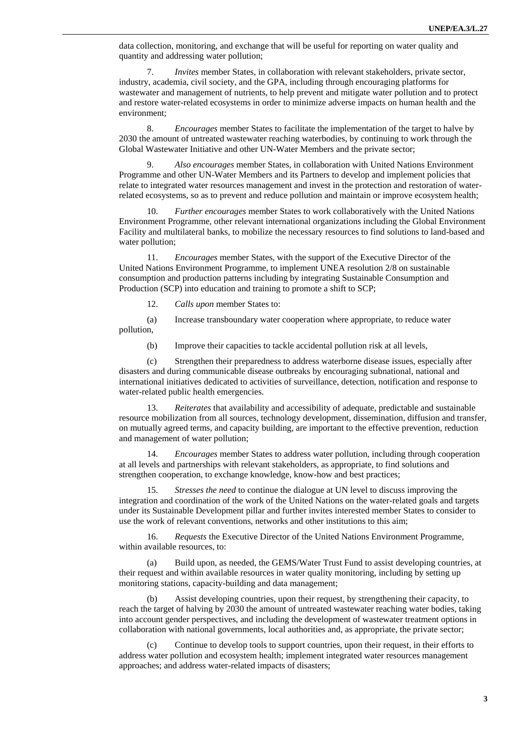data collection, monitoring, and exchange that will be useful for reporting on water quality and quantity and addressing water pollution;

7. *Invites* member States, in collaboration with relevant stakeholders, private sector, industry, academia, civil society, and the GPA, including through encouraging platforms for wastewater and management of nutrients, to help prevent and mitigate water pollution and to protect and restore water-related ecosystems in order to minimize adverse impacts on human health and the environment;

8. *Encourages* member States to facilitate the implementation of the target to halve by 2030 the amount of untreated wastewater reaching waterbodies, by continuing to work through the Global Wastewater Initiative and other UN-Water Members and the private sector;

9. *Also encourages* member States, in collaboration with United Nations Environment Programme and other UN-Water Members and its Partners to develop and implement policies that relate to integrated water resources management and invest in the protection and restoration of waterrelated ecosystems, so as to prevent and reduce pollution and maintain or improve ecosystem health;

10. *Further encourages* member States to work collaboratively with the United Nations Environment Programme, other relevant international organizations including the Global Environment Facility and multilateral banks, to mobilize the necessary resources to find solutions to land-based and water pollution;

11. *Encourages* member States, with the support of the Executive Director of the United Nations Environment Programme, to implement UNEA resolution 2/8 on sustainable consumption and production patterns including by integrating Sustainable Consumption and Production (SCP) into education and training to promote a shift to SCP;

12. *Calls upon* member States to:

(a) Increase transboundary water cooperation where appropriate, to reduce water pollution,

(b) Improve their capacities to tackle accidental pollution risk at all levels,

(c) Strengthen their preparedness to address waterborne disease issues, especially after disasters and during communicable disease outbreaks by encouraging subnational, national and international initiatives dedicated to activities of surveillance, detection, notification and response to water-related public health emergencies.

13. *Reiterates* that availability and accessibility of adequate, predictable and sustainable resource mobilization from all sources, technology development, dissemination, diffusion and transfer, on mutually agreed terms, and capacity building, are important to the effective prevention, reduction and management of water pollution;

14. *Encourages* member States to address water pollution, including through cooperation at all levels and partnerships with relevant stakeholders, as appropriate, to find solutions and strengthen cooperation, to exchange knowledge, know-how and best practices;

15. *Stresses the need* to continue the dialogue at UN level to discuss improving the integration and coordination of the work of the United Nations on the water-related goals and targets under its Sustainable Development pillar and further invites interested member States to consider to use the work of relevant conventions, networks and other institutions to this aim;

16. *Requests* the Executive Director of the United Nations Environment Programme, within available resources, to:

(a) Build upon, as needed, the GEMS/Water Trust Fund to assist developing countries, at their request and within available resources in water quality monitoring, including by setting up monitoring stations, capacity-building and data management;

Assist developing countries, upon their request, by strengthening their capacity, to reach the target of halving by 2030 the amount of untreated wastewater reaching water bodies, taking into account gender perspectives, and including the development of wastewater treatment options in collaboration with national governments, local authorities and, as appropriate, the private sector;

(c) Continue to develop tools to support countries, upon their request, in their efforts to address water pollution and ecosystem health; implement integrated water resources management approaches; and address water-related impacts of disasters;